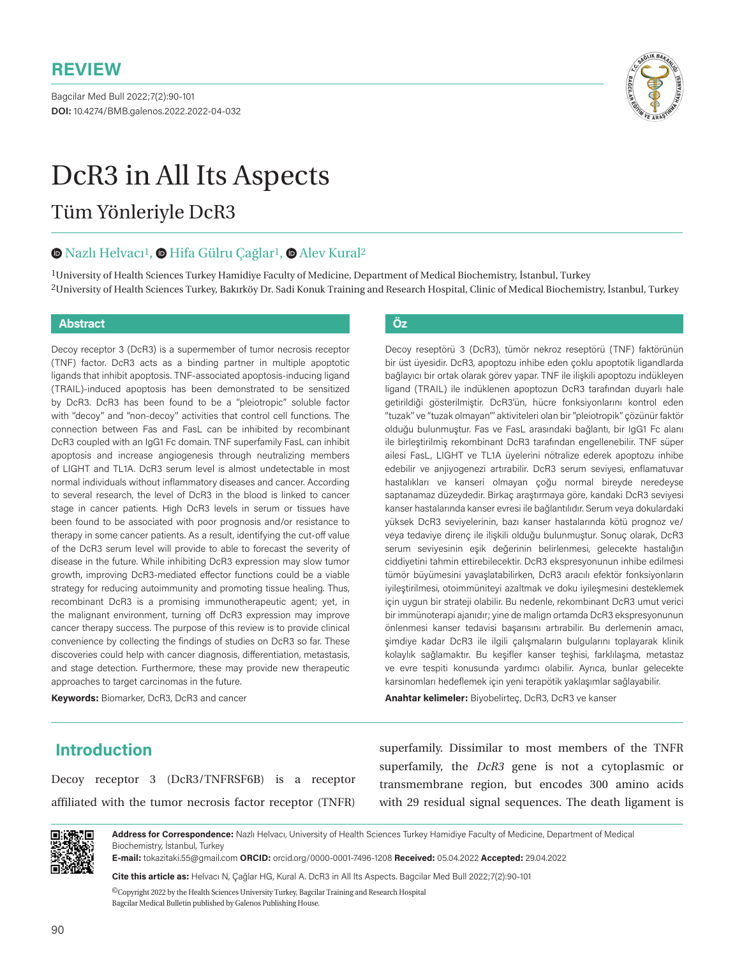Bagcilar Med Bull 2022;7(2):90-101 **DOI:** 10.4274/BMB.galenos.2022.2022-04-032



# DcR3 in All Its Aspects

## Tüm Yönleriyle DcR3

#### $\bullet$ **Nazlı Helvacı<sup>1</sup>,**  $\bullet$  **Hifa Gülru Çağlar<sup>1</sup>,**  $\bullet$  **Alev Kural<sup>2</sup>**

1University of Health Sciences Turkey Hamidiye Faculty of Medicine, Department of Medical Biochemistry, İstanbul, Turkey 2University of Health Sciences Turkey, Bakırköy Dr. Sadi Konuk Training and Research Hospital, Clinic of Medical Biochemistry, İstanbul, Turkey

#### **Abstract Öz**

Decoy receptor 3 (DcR3) is a supermember of tumor necrosis receptor (TNF) factor. DcR3 acts as a binding partner in multiple apoptotic ligands that inhibit apoptosis. TNF-associated apoptosis-inducing ligand (TRAIL)-induced apoptosis has been demonstrated to be sensitized by DcR3. DcR3 has been found to be a ''pleiotropic'' soluble factor with ''decoy'' and ''non-decoy'' activities that control cell functions. The connection between Fas and FasL can be inhibited by recombinant DcR3 coupled with an IgG1 Fc domain. TNF superfamily FasL can inhibit apoptosis and increase angiogenesis through neutralizing members of LIGHT and TL1A. DcR3 serum level is almost undetectable in most normal individuals without inflammatory diseases and cancer. According to several research, the level of DcR3 in the blood is linked to cancer stage in cancer patients. High DcR3 levels in serum or tissues have been found to be associated with poor prognosis and/or resistance to therapy in some cancer patients. As a result, identifying the cut-off value of the DcR3 serum level will provide to able to forecast the severity of disease in the future. While inhibiting DcR3 expression may slow tumor growth, improving DcR3-mediated effector functions could be a viable strategy for reducing autoimmunity and promoting tissue healing. Thus, recombinant DcR3 is a promising immunotherapeutic agent; yet, in the malignant environment, turning off DcR3 expression may improve cancer therapy success. The purpose of this review is to provide clinical convenience by collecting the findings of studies on DcR3 so far. These discoveries could help with cancer diagnosis, differentiation, metastasis, and stage detection. Furthermore, these may provide new therapeutic approaches to target carcinomas in the future.

**Keywords:** Biomarker, DcR3, DcR3 and cancer

Decoy reseptörü 3 (DcR3), tümör nekroz reseptörü (TNF) faktörünün bir üst üyesidir. DcR3, apoptozu inhibe eden çoklu apoptotik ligandlarda bağlayıcı bir ortak olarak görev yapar. TNF ile ilişkili apoptozu indükleyen ligand (TRAIL) ile indüklenen apoptozun DcR3 tarafından duyarlı hale getirildiği gösterilmiştir. DcR3'ün, hücre fonksiyonlarını kontrol eden ''tuzak'' ve ''tuzak olmayan''' aktiviteleri olan bir ''pleiotropik'' çözünür faktör olduğu bulunmuştur. Fas ve FasL arasındaki bağlantı, bir IgG1 Fc alanı ile birleştirilmiş rekombinant DcR3 tarafından engellenebilir. TNF süper ailesi FasL, LIGHT ve TL1A üyelerini nötralize ederek apoptozu inhibe edebilir ve anjiyogenezi artırabilir. DcR3 serum seviyesi, enflamatuvar hastalıkları ve kanseri olmayan çoğu normal bireyde neredeyse saptanamaz düzeydedir. Birkaç araştırmaya göre, kandaki DcR3 seviyesi kanser hastalarında kanser evresi ile bağlantılıdır. Serum veya dokulardaki yüksek DcR3 seviyelerinin, bazı kanser hastalarında kötü prognoz ve/ veya tedaviye direnç ile ilişkili olduğu bulunmuştur. Sonuç olarak, DcR3 serum seviyesinin eşik değerinin belirlenmesi, gelecekte hastalığın ciddiyetini tahmin ettirebilecektir. DcR3 ekspresyonunun inhibe edilmesi tümör büyümesini yavaşlatabilirken, DcR3 aracılı efektör fonksiyonların iyileştirilmesi, otoimmüniteyi azaltmak ve doku iyileşmesini desteklemek için uygun bir strateji olabilir. Bu nedenle, rekombinant DcR3 umut verici bir immünoterapi ajanıdır; yine de malign ortamda DcR3 ekspresyonunun önlenmesi kanser tedavisi başarısını artırabilir. Bu derlemenin amacı, şimdiye kadar DcR3 ile ilgili çalışmaların bulgularını toplayarak klinik kolaylık sağlamaktır. Bu keşifler kanser teşhisi, farklılaşma, metastaz ve evre tespiti konusunda yardımcı olabilir. Ayrıca, bunlar gelecekte karsinomları hedeflemek için yeni terapötik yaklaşımlar sağlayabilir.

**Anahtar kelimeler:** Biyobelirteç, DcR3, DcR3 ve kanser

### **Introduction**

Decoy receptor 3 (DcR3/TNFRSF6B) is a receptor affiliated with the tumor necrosis factor receptor (TNFR)

superfamily. Dissimilar to most members of the TNFR superfamily, the *DcR3* gene is not a cytoplasmic or transmembrane region, but encodes 300 amino acids with 29 residual signal sequences. The death ligament is



**Address for Correspondence:** Nazlı Helvacı, University of Health Sciences Turkey Hamidiye Faculty of Medicine, Department of Medical Biochemistry, İstanbul, Turkey

**E-mail:** tokazitaki.55@gmail.com **ORCID:** orcid.org/0000-0001-7496-1208 **Received:** 05.04.2022 **Accepted:** 29.04.2022

**Cite this article as:** Helvacı N, Çağlar HG, Kural A. DcR3 in All Its Aspects. Bagcilar Med Bull 2022;7(2):90-101

 ${}^{{\sf{O}}\!}$  Copyright 2022 by the Health Sciences University Turkey, Bagcilar Training and Research Hospital Bagcilar Medical Bulletin published by Galenos Publishing House.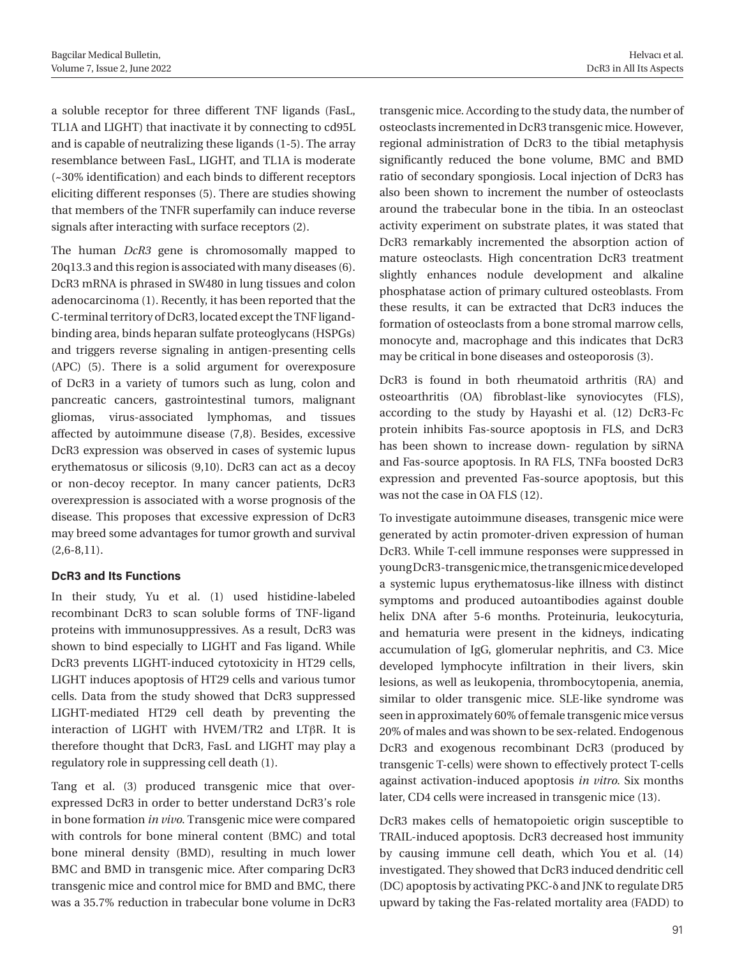a soluble receptor for three different TNF ligands (FasL, TL1A and LIGHT) that inactivate it by connecting to cd95L and is capable of neutralizing these ligands (1-5). The array resemblance between FasL, LIGHT, and TL1A is moderate (~30% identification) and each binds to different receptors eliciting different responses (5). There are studies showing that members of the TNFR superfamily can induce reverse signals after interacting with surface receptors (2).

The human *DcR3* gene is chromosomally mapped to 20q13.3 and this region is associated with many diseases (6). DcR3 mRNA is phrased in SW480 in lung tissues and colon adenocarcinoma (1). Recently, it has been reported that the C-terminal territory of DcR3, located except the TNF ligandbinding area, binds heparan sulfate proteoglycans (HSPGs) and triggers reverse signaling in antigen-presenting cells (APC) (5). There is a solid argument for overexposure of DcR3 in a variety of tumors such as lung, colon and pancreatic cancers, gastrointestinal tumors, malignant gliomas, virus-associated lymphomas, and tissues affected by autoimmune disease (7,8). Besides, excessive DcR3 expression was observed in cases of systemic lupus erythematosus or silicosis (9,10). DcR3 can act as a decoy or non-decoy receptor. In many cancer patients, DcR3 overexpression is associated with a worse prognosis of the disease. This proposes that excessive expression of DcR3 may breed some advantages for tumor growth and survival  $(2.6 - 8.11)$ .

#### **DcR3 and Its Functions**

In their study, Yu et al. (1) used histidine-labeled recombinant DcR3 to scan soluble forms of TNF-ligand proteins with immunosuppressives. As a result, DcR3 was shown to bind especially to LIGHT and Fas ligand. While DcR3 prevents LIGHT-induced cytotoxicity in HT29 cells, LIGHT induces apoptosis of HT29 cells and various tumor cells. Data from the study showed that DcR3 suppressed LIGHT-mediated HT29 cell death by preventing the interaction of LIGHT with HVEM/TR2 and LTβR. It is therefore thought that DcR3, FasL and LIGHT may play a regulatory role in suppressing cell death (1).

Tang et al. (3) produced transgenic mice that overexpressed DcR3 in order to better understand DcR3's role in bone formation *in vivo*. Transgenic mice were compared with controls for bone mineral content (BMC) and total bone mineral density (BMD), resulting in much lower BMC and BMD in transgenic mice. After comparing DcR3 transgenic mice and control mice for BMD and BMC, there was a 35.7% reduction in trabecular bone volume in DcR3

transgenic mice. According to the study data, the number of osteoclasts incremented in DcR3 transgenic mice. However, regional administration of DcR3 to the tibial metaphysis significantly reduced the bone volume, BMC and BMD ratio of secondary spongiosis. Local injection of DcR3 has also been shown to increment the number of osteoclasts around the trabecular bone in the tibia. In an osteoclast activity experiment on substrate plates, it was stated that DcR3 remarkably incremented the absorption action of mature osteoclasts. High concentration DcR3 treatment slightly enhances nodule development and alkaline phosphatase action of primary cultured osteoblasts. From these results, it can be extracted that DcR3 induces the formation of osteoclasts from a bone stromal marrow cells, monocyte and, macrophage and this indicates that DcR3 may be critical in bone diseases and osteoporosis (3).

DcR3 is found in both rheumatoid arthritis (RA) and osteoarthritis (OA) fibroblast-like synoviocytes (FLS), according to the study by Hayashi et al. (12) DcR3-Fc protein inhibits Fas-source apoptosis in FLS, and DcR3 has been shown to increase down- regulation by siRNA and Fas-source apoptosis. In RA FLS, TNFa boosted DcR3 expression and prevented Fas-source apoptosis, but this was not the case in OA FLS (12).

To investigate autoimmune diseases, transgenic mice were generated by actin promoter-driven expression of human DcR3. While T-cell immune responses were suppressed in young DcR3-transgenic mice, the transgenic mice developed a systemic lupus erythematosus-like illness with distinct symptoms and produced autoantibodies against double helix DNA after 5-6 months. Proteinuria, leukocyturia, and hematuria were present in the kidneys, indicating accumulation of IgG, glomerular nephritis, and C3. Mice developed lymphocyte infiltration in their livers, skin lesions, as well as leukopenia, thrombocytopenia, anemia, similar to older transgenic mice. SLE-like syndrome was seen in approximately 60% of female transgenic mice versus 20% of males and was shown to be sex-related. Endogenous DcR3 and exogenous recombinant DcR3 (produced by transgenic T-cells) were shown to effectively protect T-cells against activation-induced apoptosis *in vitro*. Six months later, CD4 cells were increased in transgenic mice (13).

DcR3 makes cells of hematopoietic origin susceptible to TRAIL-induced apoptosis. DcR3 decreased host immunity by causing immune cell death, which You et al. (14) investigated. They showed that DcR3 induced dendritic cell (DC) apoptosis by activating PKC-δ and JNK to regulate DR5 upward by taking the Fas-related mortality area (FADD) to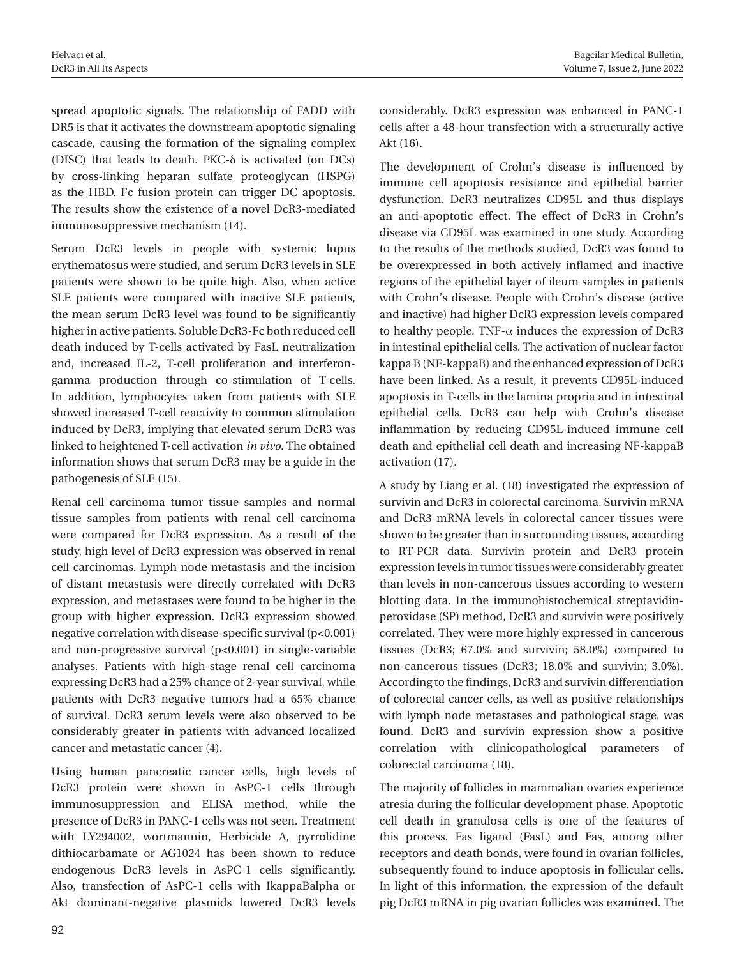spread apoptotic signals. The relationship of FADD with DR5 is that it activates the downstream apoptotic signaling cascade, causing the formation of the signaling complex (DISC) that leads to death. PKC-δ is activated (on DCs) by cross-linking heparan sulfate proteoglycan (HSPG) as the HBD. Fc fusion protein can trigger DC apoptosis. The results show the existence of a novel DcR3-mediated immunosuppressive mechanism (14).

Serum DcR3 levels in people with systemic lupus erythematosus were studied, and serum DcR3 levels in SLE patients were shown to be quite high. Also, when active SLE patients were compared with inactive SLE patients, the mean serum DcR3 level was found to be significantly higher in active patients. Soluble DcR3-Fc both reduced cell death induced by T-cells activated by FasL neutralization and, increased IL-2, T-cell proliferation and interferongamma production through co-stimulation of T-cells. In addition, lymphocytes taken from patients with SLE showed increased T-cell reactivity to common stimulation induced by DcR3, implying that elevated serum DcR3 was linked to heightened T-cell activation *in vivo*. The obtained information shows that serum DcR3 may be a guide in the pathogenesis of SLE (15).

Renal cell carcinoma tumor tissue samples and normal tissue samples from patients with renal cell carcinoma were compared for DcR3 expression. As a result of the study, high level of DcR3 expression was observed in renal cell carcinomas. Lymph node metastasis and the incision of distant metastasis were directly correlated with DcR3 expression, and metastases were found to be higher in the group with higher expression. DcR3 expression showed negative correlation with disease-specific survival (p<0.001) and non-progressive survival (p<0.001) in single-variable analyses. Patients with high-stage renal cell carcinoma expressing DcR3 had a 25% chance of 2-year survival, while patients with DcR3 negative tumors had a 65% chance of survival. DcR3 serum levels were also observed to be considerably greater in patients with advanced localized cancer and metastatic cancer (4).

Using human pancreatic cancer cells, high levels of DcR3 protein were shown in AsPC-1 cells through immunosuppression and ELISA method, while the presence of DcR3 in PANC-1 cells was not seen. Treatment with LY294002, wortmannin, Herbicide A, pyrrolidine dithiocarbamate or AG1024 has been shown to reduce endogenous DcR3 levels in AsPC-1 cells significantly. Also, transfection of AsPC-1 cells with IkappaBalpha or Akt dominant-negative plasmids lowered DcR3 levels

considerably. DcR3 expression was enhanced in PANC-1 cells after a 48-hour transfection with a structurally active Akt (16).

The development of Crohn's disease is influenced by immune cell apoptosis resistance and epithelial barrier dysfunction. DcR3 neutralizes CD95L and thus displays an anti-apoptotic effect. The effect of DcR3 in Crohn's disease via CD95L was examined in one study. According to the results of the methods studied, DcR3 was found to be overexpressed in both actively inflamed and inactive regions of the epithelial layer of ileum samples in patients with Crohn's disease. People with Crohn's disease (active and inactive) had higher DcR3 expression levels compared to healthy people. TNF- $\alpha$  induces the expression of DcR3 in intestinal epithelial cells. The activation of nuclear factor kappa B (NF-kappaB) and the enhanced expression of DcR3 have been linked. As a result, it prevents CD95L-induced apoptosis in T-cells in the lamina propria and in intestinal epithelial cells. DcR3 can help with Crohn's disease inflammation by reducing CD95L-induced immune cell death and epithelial cell death and increasing NF-kappaB activation (17).

A study by Liang et al. (18) investigated the expression of survivin and DcR3 in colorectal carcinoma. Survivin mRNA and DcR3 mRNA levels in colorectal cancer tissues were shown to be greater than in surrounding tissues, according to RT-PCR data. Survivin protein and DcR3 protein expression levels in tumor tissues were considerably greater than levels in non-cancerous tissues according to western blotting data. In the immunohistochemical streptavidinperoxidase (SP) method, DcR3 and survivin were positively correlated. They were more highly expressed in cancerous tissues (DcR3; 67.0% and survivin; 58.0%) compared to non-cancerous tissues (DcR3; 18.0% and survivin; 3.0%). According to the findings, DcR3 and survivin differentiation of colorectal cancer cells, as well as positive relationships with lymph node metastases and pathological stage, was found. DcR3 and survivin expression show a positive correlation with clinicopathological parameters of colorectal carcinoma (18).

The majority of follicles in mammalian ovaries experience atresia during the follicular development phase. Apoptotic cell death in granulosa cells is one of the features of this process. Fas ligand (FasL) and Fas, among other receptors and death bonds, were found in ovarian follicles, subsequently found to induce apoptosis in follicular cells. In light of this information, the expression of the default pig DcR3 mRNA in pig ovarian follicles was examined. The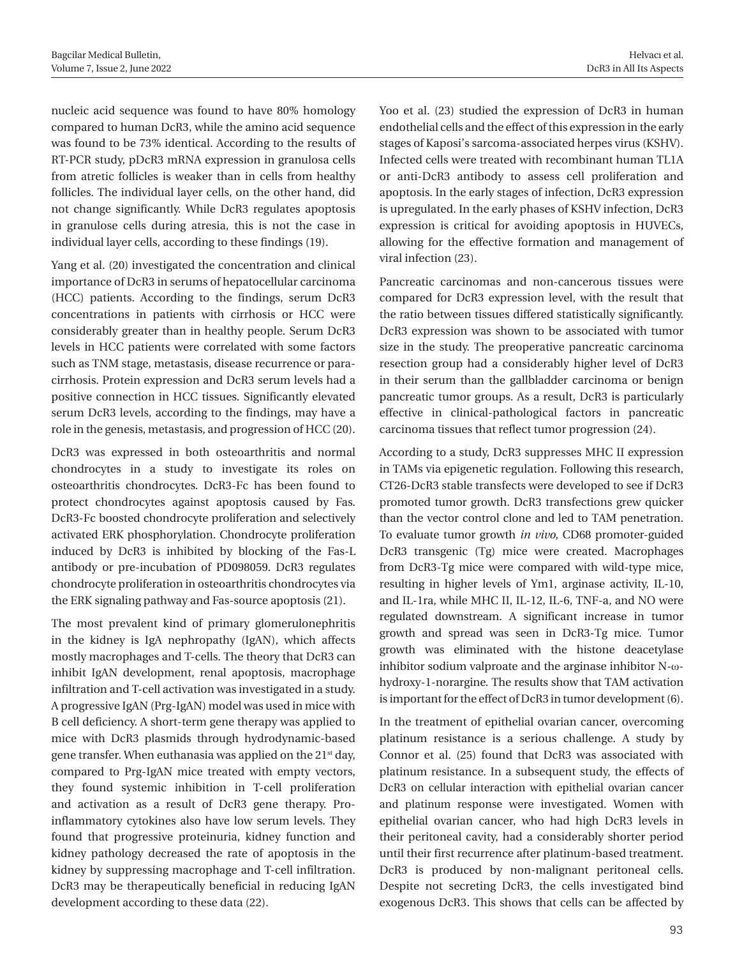nucleic acid sequence was found to have 80% homology compared to human DcR3, while the amino acid sequence was found to be 73% identical. According to the results of RT-PCR study, pDcR3 mRNA expression in granulosa cells from atretic follicles is weaker than in cells from healthy follicles. The individual layer cells, on the other hand, did not change significantly. While DcR3 regulates apoptosis in granulose cells during atresia, this is not the case in individual layer cells, according to these findings (19).

Yang et al. (20) investigated the concentration and clinical importance of DcR3 in serums of hepatocellular carcinoma (HCC) patients. According to the findings, serum DcR3 concentrations in patients with cirrhosis or HCC were considerably greater than in healthy people. Serum DcR3 levels in HCC patients were correlated with some factors such as TNM stage, metastasis, disease recurrence or paracirrhosis. Protein expression and DcR3 serum levels had a positive connection in HCC tissues. Significantly elevated serum DcR3 levels, according to the findings, may have a role in the genesis, metastasis, and progression of HCC (20).

DcR3 was expressed in both osteoarthritis and normal chondrocytes in a study to investigate its roles on osteoarthritis chondrocytes. DcR3-Fc has been found to protect chondrocytes against apoptosis caused by Fas. DcR3-Fc boosted chondrocyte proliferation and selectively activated ERK phosphorylation. Chondrocyte proliferation induced by DcR3 is inhibited by blocking of the Fas-L antibody or pre-incubation of PD098059. DcR3 regulates chondrocyte proliferation in osteoarthritis chondrocytes via the ERK signaling pathway and Fas-source apoptosis (21).

The most prevalent kind of primary glomerulonephritis in the kidney is IgA nephropathy (IgAN), which affects mostly macrophages and T-cells. The theory that DcR3 can inhibit IgAN development, renal apoptosis, macrophage infiltration and T-cell activation was investigated in a study. A progressive IgAN (Prg-IgAN) model was used in mice with B cell deficiency. A short-term gene therapy was applied to mice with DcR3 plasmids through hydrodynamic-based gene transfer. When euthanasia was applied on the 21<sup>st</sup> day, compared to Prg-IgAN mice treated with empty vectors, they found systemic inhibition in T-cell proliferation and activation as a result of DcR3 gene therapy. Proinflammatory cytokines also have low serum levels. They found that progressive proteinuria, kidney function and kidney pathology decreased the rate of apoptosis in the kidney by suppressing macrophage and T-cell infiltration. DcR3 may be therapeutically beneficial in reducing IgAN development according to these data (22).

Yoo et al. (23) studied the expression of DcR3 in human endothelial cells and the effect of this expression in the early stages of Kaposi's sarcoma-associated herpes virus (KSHV). Infected cells were treated with recombinant human TL1A or anti-DcR3 antibody to assess cell proliferation and apoptosis. In the early stages of infection, DcR3 expression is upregulated. In the early phases of KSHV infection, DcR3 expression is critical for avoiding apoptosis in HUVECs, allowing for the effective formation and management of viral infection (23).

Pancreatic carcinomas and non-cancerous tissues were compared for DcR3 expression level, with the result that the ratio between tissues differed statistically significantly. DcR3 expression was shown to be associated with tumor size in the study. The preoperative pancreatic carcinoma resection group had a considerably higher level of DcR3 in their serum than the gallbladder carcinoma or benign pancreatic tumor groups. As a result, DcR3 is particularly effective in clinical-pathological factors in pancreatic carcinoma tissues that reflect tumor progression (24).

According to a study, DcR3 suppresses MHC II expression in TAMs via epigenetic regulation. Following this research, CT26-DcR3 stable transfects were developed to see if DcR3 promoted tumor growth. DcR3 transfections grew quicker than the vector control clone and led to TAM penetration. To evaluate tumor growth *in vivo*, CD68 promoter-guided DcR3 transgenic (Tg) mice were created. Macrophages from DcR3-Tg mice were compared with wild-type mice, resulting in higher levels of Ym1, arginase activity, IL-10, and IL-1ra, while MHC II, IL-12, IL-6, TNF-a, and NO were regulated downstream. A significant increase in tumor growth and spread was seen in DcR3-Tg mice. Tumor growth was eliminated with the histone deacetylase inhibitor sodium valproate and the arginase inhibitor N-ωhydroxy-1-norargine. The results show that TAM activation is important for the effect of DcR3 in tumor development (6).

In the treatment of epithelial ovarian cancer, overcoming platinum resistance is a serious challenge. A study by Connor et al. (25) found that DcR3 was associated with platinum resistance. In a subsequent study, the effects of DcR3 on cellular interaction with epithelial ovarian cancer and platinum response were investigated. Women with epithelial ovarian cancer, who had high DcR3 levels in their peritoneal cavity, had a considerably shorter period until their first recurrence after platinum-based treatment. DcR3 is produced by non-malignant peritoneal cells. Despite not secreting DcR3, the cells investigated bind exogenous DcR3. This shows that cells can be affected by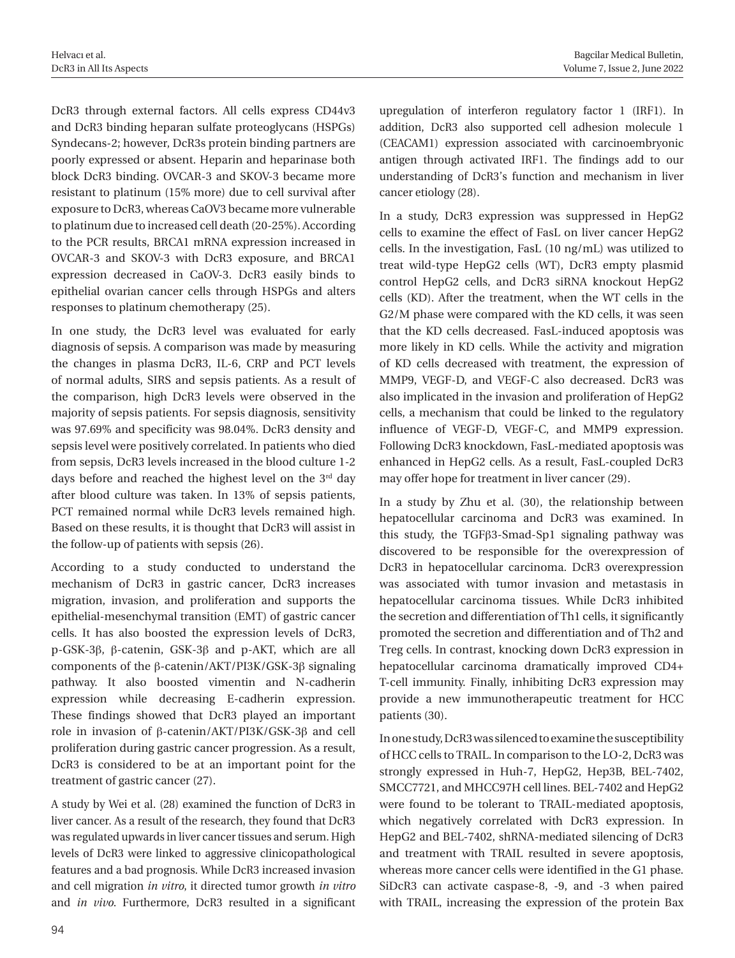DcR3 through external factors. All cells express CD44v3 and DcR3 binding heparan sulfate proteoglycans (HSPGs) Syndecans-2; however, DcR3s protein binding partners are poorly expressed or absent. Heparin and heparinase both block DcR3 binding. OVCAR-3 and SKOV-3 became more resistant to platinum (15% more) due to cell survival after exposure to DcR3, whereas CaOV3 became more vulnerable to platinum due to increased cell death (20-25%). According to the PCR results, BRCA1 mRNA expression increased in OVCAR-3 and SKOV-3 with DcR3 exposure, and BRCA1 expression decreased in CaOV-3. DcR3 easily binds to epithelial ovarian cancer cells through HSPGs and alters responses to platinum chemotherapy (25).

In one study, the DcR3 level was evaluated for early diagnosis of sepsis. A comparison was made by measuring the changes in plasma DcR3, IL-6, CRP and PCT levels of normal adults, SIRS and sepsis patients. As a result of the comparison, high DcR3 levels were observed in the majority of sepsis patients. For sepsis diagnosis, sensitivity was 97.69% and specificity was 98.04%. DcR3 density and sepsis level were positively correlated. In patients who died from sepsis, DcR3 levels increased in the blood culture 1-2 days before and reached the highest level on the 3<sup>rd</sup> day after blood culture was taken. In 13% of sepsis patients, PCT remained normal while DcR3 levels remained high. Based on these results, it is thought that DcR3 will assist in the follow-up of patients with sepsis (26).

According to a study conducted to understand the mechanism of DcR3 in gastric cancer, DcR3 increases migration, invasion, and proliferation and supports the epithelial-mesenchymal transition (EMT) of gastric cancer cells. It has also boosted the expression levels of DcR3, p-GSK-3β, β-catenin, GSK-3β and p-AKT, which are all components of the β-catenin/AKT/PI3K/GSK-3β signaling pathway. It also boosted vimentin and N-cadherin expression while decreasing E-cadherin expression. These findings showed that DcR3 played an important role in invasion of β-catenin/AKT/PI3K/GSK-3β and cell proliferation during gastric cancer progression. As a result, DcR3 is considered to be at an important point for the treatment of gastric cancer (27).

A study by Wei et al. (28) examined the function of DcR3 in liver cancer. As a result of the research, they found that DcR3 was regulated upwards in liver cancer tissues and serum. High levels of DcR3 were linked to aggressive clinicopathological features and a bad prognosis. While DcR3 increased invasion and cell migration *in vitro*, it directed tumor growth *in vitro* and *in vivo*. Furthermore, DcR3 resulted in a significant upregulation of interferon regulatory factor 1 (IRF1). In addition, DcR3 also supported cell adhesion molecule 1 (CEACAM1) expression associated with carcinoembryonic antigen through activated IRF1. The findings add to our understanding of DcR3's function and mechanism in liver cancer etiology (28).

In a study, DcR3 expression was suppressed in HepG2 cells to examine the effect of FasL on liver cancer HepG2 cells. In the investigation, FasL (10 ng/mL) was utilized to treat wild-type HepG2 cells (WT), DcR3 empty plasmid control HepG2 cells, and DcR3 siRNA knockout HepG2 cells (KD). After the treatment, when the WT cells in the G2/M phase were compared with the KD cells, it was seen that the KD cells decreased. FasL-induced apoptosis was more likely in KD cells. While the activity and migration of KD cells decreased with treatment, the expression of MMP9, VEGF-D, and VEGF-C also decreased. DcR3 was also implicated in the invasion and proliferation of HepG2 cells, a mechanism that could be linked to the regulatory influence of VEGF-D, VEGF-C, and MMP9 expression. Following DcR3 knockdown, FasL-mediated apoptosis was enhanced in HepG2 cells. As a result, FasL-coupled DcR3 may offer hope for treatment in liver cancer (29).

In a study by Zhu et al. (30), the relationship between hepatocellular carcinoma and DcR3 was examined. In this study, the TGFβ3-Smad-Sp1 signaling pathway was discovered to be responsible for the overexpression of DcR3 in hepatocellular carcinoma. DcR3 overexpression was associated with tumor invasion and metastasis in hepatocellular carcinoma tissues. While DcR3 inhibited the secretion and differentiation of Th1 cells, it significantly promoted the secretion and differentiation and of Th2 and Treg cells. In contrast, knocking down DcR3 expression in hepatocellular carcinoma dramatically improved CD4+ T-cell immunity. Finally, inhibiting DcR3 expression may provide a new immunotherapeutic treatment for HCC patients (30).

In one study, DcR3 was silenced to examine the susceptibility of HCC cells to TRAIL. In comparison to the LO-2, DcR3 was strongly expressed in Huh-7, HepG2, Hep3B, BEL-7402, SMCC7721, and MHCC97H cell lines. BEL-7402 and HepG2 were found to be tolerant to TRAIL-mediated apoptosis, which negatively correlated with DcR3 expression. In HepG2 and BEL-7402, shRNA-mediated silencing of DcR3 and treatment with TRAIL resulted in severe apoptosis, whereas more cancer cells were identified in the G1 phase. SiDcR3 can activate caspase-8, -9, and -3 when paired with TRAIL, increasing the expression of the protein Bax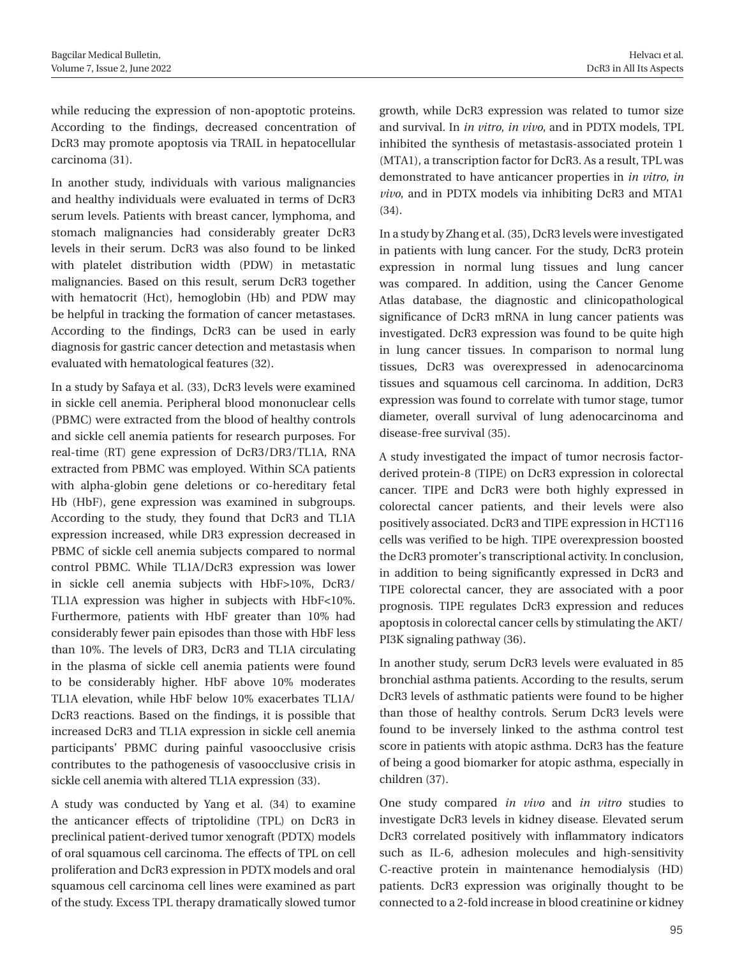while reducing the expression of non-apoptotic proteins. According to the findings, decreased concentration of DcR3 may promote apoptosis via TRAIL in hepatocellular carcinoma (31).

In another study, individuals with various malignancies and healthy individuals were evaluated in terms of DcR3 serum levels. Patients with breast cancer, lymphoma, and stomach malignancies had considerably greater DcR3 levels in their serum. DcR3 was also found to be linked with platelet distribution width (PDW) in metastatic malignancies. Based on this result, serum DcR3 together with hematocrit (Hct), hemoglobin (Hb) and PDW may be helpful in tracking the formation of cancer metastases. According to the findings, DcR3 can be used in early diagnosis for gastric cancer detection and metastasis when evaluated with hematological features (32).

In a study by Safaya et al. (33), DcR3 levels were examined in sickle cell anemia. Peripheral blood mononuclear cells (PBMC) were extracted from the blood of healthy controls and sickle cell anemia patients for research purposes. For real-time (RT) gene expression of DcR3/DR3/TL1A, RNA extracted from PBMC was employed. Within SCA patients with alpha-globin gene deletions or co-hereditary fetal Hb (HbF), gene expression was examined in subgroups. According to the study, they found that DcR3 and TL1A expression increased, while DR3 expression decreased in PBMC of sickle cell anemia subjects compared to normal control PBMC. While TL1A/DcR3 expression was lower in sickle cell anemia subjects with HbF>10%, DcR3/ TL1A expression was higher in subjects with HbF<10%. Furthermore, patients with HbF greater than 10% had considerably fewer pain episodes than those with HbF less than 10%. The levels of DR3, DcR3 and TL1A circulating in the plasma of sickle cell anemia patients were found to be considerably higher. HbF above 10% moderates TL1A elevation, while HbF below 10% exacerbates TL1A/ DcR3 reactions. Based on the findings, it is possible that increased DcR3 and TL1A expression in sickle cell anemia participants' PBMC during painful vasoocclusive crisis contributes to the pathogenesis of vasoocclusive crisis in sickle cell anemia with altered TL1A expression (33).

A study was conducted by Yang et al. (34) to examine the anticancer effects of triptolidine (TPL) on DcR3 in preclinical patient-derived tumor xenograft (PDTX) models of oral squamous cell carcinoma. The effects of TPL on cell proliferation and DcR3 expression in PDTX models and oral squamous cell carcinoma cell lines were examined as part of the study. Excess TPL therapy dramatically slowed tumor growth, while DcR3 expression was related to tumor size and survival. In *in vitro*, *in vivo*, and in PDTX models, TPL inhibited the synthesis of metastasis-associated protein 1 (MTA1), a transcription factor for DcR3. As a result, TPL was demonstrated to have anticancer properties in *in vitro*, *in vivo*, and in PDTX models via inhibiting DcR3 and MTA1 (34).

In a study by Zhang et al. (35), DcR3 levels were investigated in patients with lung cancer. For the study, DcR3 protein expression in normal lung tissues and lung cancer was compared. In addition, using the Cancer Genome Atlas database, the diagnostic and clinicopathological significance of DcR3 mRNA in lung cancer patients was investigated. DcR3 expression was found to be quite high in lung cancer tissues. In comparison to normal lung tissues, DcR3 was overexpressed in adenocarcinoma tissues and squamous cell carcinoma. In addition, DcR3 expression was found to correlate with tumor stage, tumor diameter, overall survival of lung adenocarcinoma and disease-free survival (35).

A study investigated the impact of tumor necrosis factorderived protein-8 (TIPE) on DcR3 expression in colorectal cancer. TIPE and DcR3 were both highly expressed in colorectal cancer patients, and their levels were also positively associated. DcR3 and TIPE expression in HCT116 cells was verified to be high. TIPE overexpression boosted the DcR3 promoter's transcriptional activity. In conclusion, in addition to being significantly expressed in DcR3 and TIPE colorectal cancer, they are associated with a poor prognosis. TIPE regulates DcR3 expression and reduces apoptosis in colorectal cancer cells by stimulating the AKT/ PI3K signaling pathway (36).

In another study, serum DcR3 levels were evaluated in 85 bronchial asthma patients. According to the results, serum DcR3 levels of asthmatic patients were found to be higher than those of healthy controls. Serum DcR3 levels were found to be inversely linked to the asthma control test score in patients with atopic asthma. DcR3 has the feature of being a good biomarker for atopic asthma, especially in children (37).

One study compared *in vivo* and *in vitro* studies to investigate DcR3 levels in kidney disease. Elevated serum DcR3 correlated positively with inflammatory indicators such as IL-6, adhesion molecules and high-sensitivity C-reactive protein in maintenance hemodialysis (HD) patients. DcR3 expression was originally thought to be connected to a 2-fold increase in blood creatinine or kidney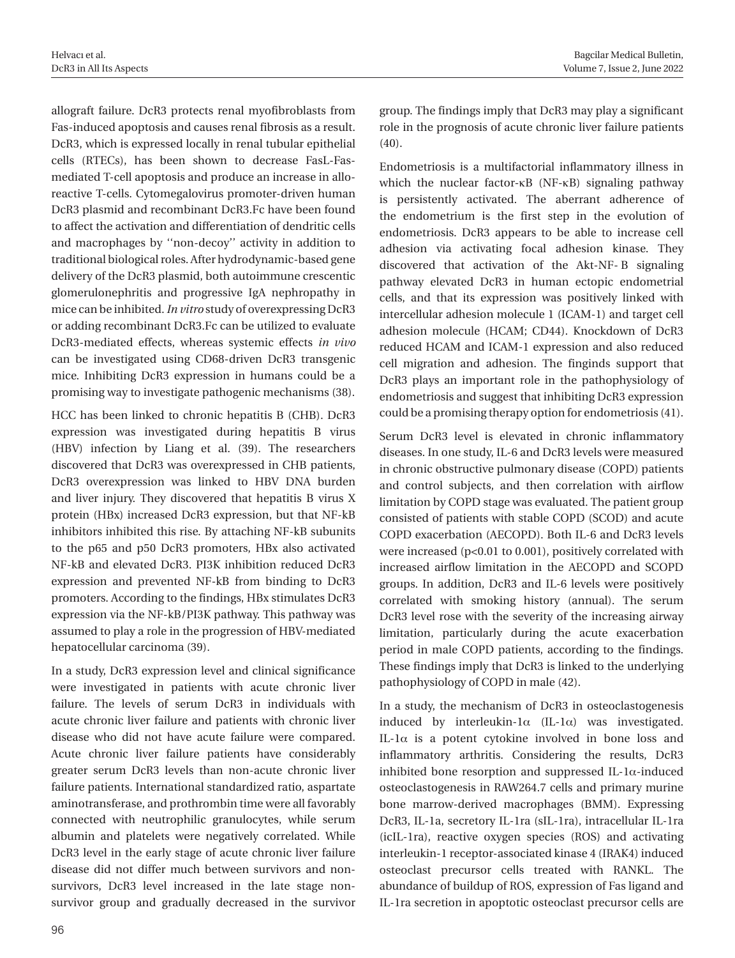allograft failure. DcR3 protects renal myofibroblasts from Fas-induced apoptosis and causes renal fibrosis as a result. DcR3, which is expressed locally in renal tubular epithelial cells (RTECs), has been shown to decrease FasL-Fasmediated T-cell apoptosis and produce an increase in alloreactive T-cells. Cytomegalovirus promoter-driven human DcR3 plasmid and recombinant DcR3.Fc have been found to affect the activation and differentiation of dendritic cells and macrophages by ''non-decoy'' activity in addition to traditional biological roles. After hydrodynamic-based gene delivery of the DcR3 plasmid, both autoimmune crescentic glomerulonephritis and progressive IgA nephropathy in mice can be inhibited. *In vitro* study of overexpressing DcR3 or adding recombinant DcR3.Fc can be utilized to evaluate DcR3-mediated effects, whereas systemic effects *in vivo* can be investigated using CD68-driven DcR3 transgenic mice. Inhibiting DcR3 expression in humans could be a promising way to investigate pathogenic mechanisms (38).

HCC has been linked to chronic hepatitis B (CHB). DcR3 expression was investigated during hepatitis B virus (HBV) infection by Liang et al. (39). The researchers discovered that DcR3 was overexpressed in CHB patients, DcR3 overexpression was linked to HBV DNA burden and liver injury. They discovered that hepatitis B virus X protein (HBx) increased DcR3 expression, but that NF-kB inhibitors inhibited this rise. By attaching NF-kB subunits to the p65 and p50 DcR3 promoters, HBx also activated NF-kB and elevated DcR3. PI3K inhibition reduced DcR3 expression and prevented NF-kB from binding to DcR3 promoters. According to the findings, HBx stimulates DcR3 expression via the NF-kB/PI3K pathway. This pathway was assumed to play a role in the progression of HBV-mediated hepatocellular carcinoma (39).

In a study, DcR3 expression level and clinical significance were investigated in patients with acute chronic liver failure. The levels of serum DcR3 in individuals with acute chronic liver failure and patients with chronic liver disease who did not have acute failure were compared. Acute chronic liver failure patients have considerably greater serum DcR3 levels than non-acute chronic liver failure patients. International standardized ratio, aspartate aminotransferase, and prothrombin time were all favorably connected with neutrophilic granulocytes, while serum albumin and platelets were negatively correlated. While DcR3 level in the early stage of acute chronic liver failure disease did not differ much between survivors and nonsurvivors, DcR3 level increased in the late stage nonsurvivor group and gradually decreased in the survivor group. The findings imply that DcR3 may play a significant role in the prognosis of acute chronic liver failure patients (40).

Endometriosis is a multifactorial inflammatory illness in which the nuclear factor-κB (NF-κB) signaling pathway is persistently activated. The aberrant adherence of the endometrium is the first step in the evolution of endometriosis. DcR3 appears to be able to increase cell adhesion via activating focal adhesion kinase. They discovered that activation of the Akt-NF- B signaling pathway elevated DcR3 in human ectopic endometrial cells, and that its expression was positively linked with intercellular adhesion molecule 1 (ICAM-1) and target cell adhesion molecule (HCAM; CD44). Knockdown of DcR3 reduced HCAM and ICAM-1 expression and also reduced cell migration and adhesion. The finginds support that DcR3 plays an important role in the pathophysiology of endometriosis and suggest that inhibiting DcR3 expression could be a promising therapy option for endometriosis (41).

Serum DcR3 level is elevated in chronic inflammatory diseases. In one study, IL-6 and DcR3 levels were measured in chronic obstructive pulmonary disease (COPD) patients and control subjects, and then correlation with airflow limitation by COPD stage was evaluated. The patient group consisted of patients with stable COPD (SCOD) and acute COPD exacerbation (AECOPD). Both IL-6 and DcR3 levels were increased (p<0.01 to 0.001), positively correlated with increased airflow limitation in the AECOPD and SCOPD groups. In addition, DcR3 and IL-6 levels were positively correlated with smoking history (annual). The serum DcR3 level rose with the severity of the increasing airway limitation, particularly during the acute exacerbation period in male COPD patients, according to the findings. These findings imply that DcR3 is linked to the underlying pathophysiology of COPD in male (42).

In a study, the mechanism of DcR3 in osteoclastogenesis induced by interleukin- $1\alpha$  (IL- $1\alpha$ ) was investigated. IL-1 $\alpha$  is a potent cytokine involved in bone loss and inflammatory arthritis. Considering the results, DcR3 inhibited bone resorption and suppressed IL-1α-induced osteoclastogenesis in RAW264.7 cells and primary murine bone marrow-derived macrophages (BMM). Expressing DcR3, IL-1a, secretory IL-1ra (sIL-1ra), intracellular IL-1ra (icIL-1ra), reactive oxygen species (ROS) and activating interleukin-1 receptor-associated kinase 4 (IRAK4) induced osteoclast precursor cells treated with RANKL. The abundance of buildup of ROS, expression of Fas ligand and IL-1ra secretion in apoptotic osteoclast precursor cells are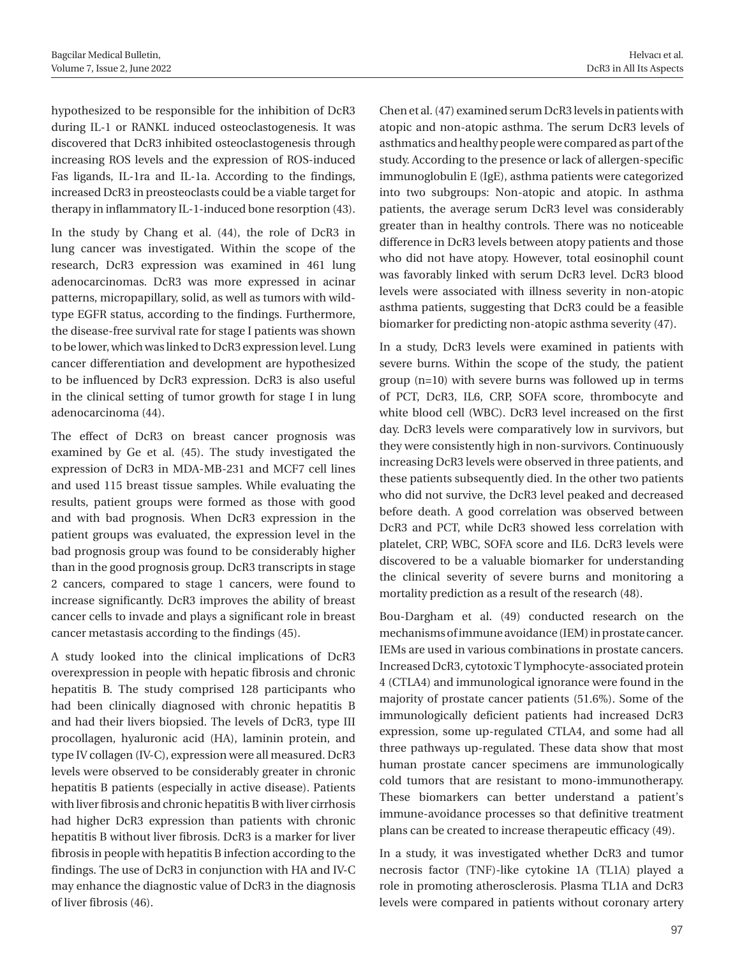hypothesized to be responsible for the inhibition of DcR3 during IL-1 or RANKL induced osteoclastogenesis. It was discovered that DcR3 inhibited osteoclastogenesis through increasing ROS levels and the expression of ROS-induced Fas ligands, IL-1ra and IL-1a. According to the findings, increased DcR3 in preosteoclasts could be a viable target for therapy in inflammatory IL-1-induced bone resorption (43).

In the study by Chang et al. (44), the role of DcR3 in lung cancer was investigated. Within the scope of the research, DcR3 expression was examined in 461 lung adenocarcinomas. DcR3 was more expressed in acinar patterns, micropapillary, solid, as well as tumors with wildtype EGFR status, according to the findings. Furthermore, the disease-free survival rate for stage I patients was shown to be lower, which was linked to DcR3 expression level. Lung cancer differentiation and development are hypothesized to be influenced by DcR3 expression. DcR3 is also useful in the clinical setting of tumor growth for stage I in lung adenocarcinoma (44).

The effect of DcR3 on breast cancer prognosis was examined by Ge et al. (45). The study investigated the expression of DcR3 in MDA-MB-231 and MCF7 cell lines and used 115 breast tissue samples. While evaluating the results, patient groups were formed as those with good and with bad prognosis. When DcR3 expression in the patient groups was evaluated, the expression level in the bad prognosis group was found to be considerably higher than in the good prognosis group. DcR3 transcripts in stage 2 cancers, compared to stage 1 cancers, were found to increase significantly. DcR3 improves the ability of breast cancer cells to invade and plays a significant role in breast cancer metastasis according to the findings (45).

A study looked into the clinical implications of DcR3 overexpression in people with hepatic fibrosis and chronic hepatitis B. The study comprised 128 participants who had been clinically diagnosed with chronic hepatitis B and had their livers biopsied. The levels of DcR3, type III procollagen, hyaluronic acid (HA), laminin protein, and type IV collagen (IV-C), expression were all measured. DcR3 levels were observed to be considerably greater in chronic hepatitis B patients (especially in active disease). Patients with liver fibrosis and chronic hepatitis B with liver cirrhosis had higher DcR3 expression than patients with chronic hepatitis B without liver fibrosis. DcR3 is a marker for liver fibrosis in people with hepatitis B infection according to the findings. The use of DcR3 in conjunction with HA and IV-C may enhance the diagnostic value of DcR3 in the diagnosis of liver fibrosis (46).

Chen et al. (47) examined serum DcR3 levels in patients with atopic and non-atopic asthma. The serum DcR3 levels of asthmatics and healthy people were compared as part of the study. According to the presence or lack of allergen-specific immunoglobulin E (IgE), asthma patients were categorized into two subgroups: Non-atopic and atopic. In asthma patients, the average serum DcR3 level was considerably greater than in healthy controls. There was no noticeable difference in DcR3 levels between atopy patients and those who did not have atopy. However, total eosinophil count was favorably linked with serum DcR3 level. DcR3 blood levels were associated with illness severity in non-atopic asthma patients, suggesting that DcR3 could be a feasible biomarker for predicting non-atopic asthma severity (47).

In a study, DcR3 levels were examined in patients with severe burns. Within the scope of the study, the patient group (n=10) with severe burns was followed up in terms of PCT, DcR3, IL6, CRP, SOFA score, thrombocyte and white blood cell (WBC). DcR3 level increased on the first day. DcR3 levels were comparatively low in survivors, but they were consistently high in non-survivors. Continuously increasing DcR3 levels were observed in three patients, and these patients subsequently died. In the other two patients who did not survive, the DcR3 level peaked and decreased before death. A good correlation was observed between DcR3 and PCT, while DcR3 showed less correlation with platelet, CRP, WBC, SOFA score and IL6. DcR3 levels were discovered to be a valuable biomarker for understanding the clinical severity of severe burns and monitoring a mortality prediction as a result of the research (48).

Bou-Dargham et al. (49) conducted research on the mechanisms of immune avoidance (IEM) in prostate cancer. IEMs are used in various combinations in prostate cancers. Increased DcR3, cytotoxic T lymphocyte-associated protein 4 (CTLA4) and immunological ignorance were found in the majority of prostate cancer patients (51.6%). Some of the immunologically deficient patients had increased DcR3 expression, some up-regulated CTLA4, and some had all three pathways up-regulated. These data show that most human prostate cancer specimens are immunologically cold tumors that are resistant to mono-immunotherapy. These biomarkers can better understand a patient's immune-avoidance processes so that definitive treatment plans can be created to increase therapeutic efficacy (49).

In a study, it was investigated whether DcR3 and tumor necrosis factor (TNF)-like cytokine 1A (TL1A) played a role in promoting atherosclerosis. Plasma TL1A and DcR3 levels were compared in patients without coronary artery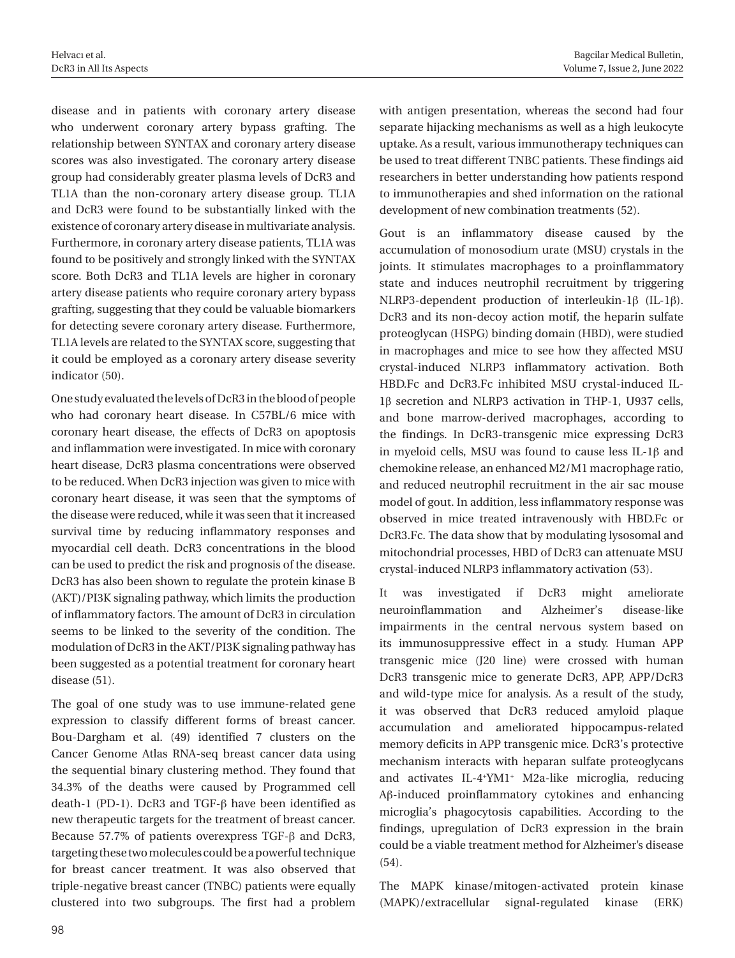disease and in patients with coronary artery disease who underwent coronary artery bypass grafting. The relationship between SYNTAX and coronary artery disease scores was also investigated. The coronary artery disease group had considerably greater plasma levels of DcR3 and TL1A than the non-coronary artery disease group. TL1A and DcR3 were found to be substantially linked with the existence of coronary artery disease in multivariate analysis. Furthermore, in coronary artery disease patients, TL1A was found to be positively and strongly linked with the SYNTAX score. Both DcR3 and TL1A levels are higher in coronary artery disease patients who require coronary artery bypass grafting, suggesting that they could be valuable biomarkers for detecting severe coronary artery disease. Furthermore, TL1A levels are related to the SYNTAX score, suggesting that it could be employed as a coronary artery disease severity indicator (50).

One study evaluated the levels of DcR3 in the blood of people who had coronary heart disease. In C57BL/6 mice with coronary heart disease, the effects of DcR3 on apoptosis and inflammation were investigated. In mice with coronary heart disease, DcR3 plasma concentrations were observed to be reduced. When DcR3 injection was given to mice with coronary heart disease, it was seen that the symptoms of the disease were reduced, while it was seen that it increased survival time by reducing inflammatory responses and myocardial cell death. DcR3 concentrations in the blood can be used to predict the risk and prognosis of the disease. DcR3 has also been shown to regulate the protein kinase B (AKT)/PI3K signaling pathway, which limits the production of inflammatory factors. The amount of DcR3 in circulation seems to be linked to the severity of the condition. The modulation of DcR3 in the AKT/PI3K signaling pathway has been suggested as a potential treatment for coronary heart disease (51).

The goal of one study was to use immune-related gene expression to classify different forms of breast cancer. Bou-Dargham et al. (49) identified 7 clusters on the Cancer Genome Atlas RNA-seq breast cancer data using the sequential binary clustering method. They found that 34.3% of the deaths were caused by Programmed cell death-1 (PD-1). DcR3 and TGF-β have been identified as new therapeutic targets for the treatment of breast cancer. Because 57.7% of patients overexpress TGF-β and DcR3, targeting these two molecules could be a powerful technique for breast cancer treatment. It was also observed that triple-negative breast cancer (TNBC) patients were equally clustered into two subgroups. The first had a problem

with antigen presentation, whereas the second had four separate hijacking mechanisms as well as a high leukocyte uptake. As a result, various immunotherapy techniques can be used to treat different TNBC patients. These findings aid researchers in better understanding how patients respond to immunotherapies and shed information on the rational development of new combination treatments (52).

Gout is an inflammatory disease caused by the accumulation of monosodium urate (MSU) crystals in the joints. It stimulates macrophages to a proinflammatory state and induces neutrophil recruitment by triggering NLRP3-dependent production of interleukin-1β (IL-1β). DcR3 and its non-decoy action motif, the heparin sulfate proteoglycan (HSPG) binding domain (HBD), were studied in macrophages and mice to see how they affected MSU crystal-induced NLRP3 inflammatory activation. Both HBD.Fc and DcR3.Fc inhibited MSU crystal-induced IL-1β secretion and NLRP3 activation in THP-1, U937 cells, and bone marrow-derived macrophages, according to the findings. In DcR3-transgenic mice expressing DcR3 in myeloid cells, MSU was found to cause less IL-1β and chemokine release, an enhanced M2/M1 macrophage ratio, and reduced neutrophil recruitment in the air sac mouse model of gout. In addition, less inflammatory response was observed in mice treated intravenously with HBD.Fc or DcR3.Fc. The data show that by modulating lysosomal and mitochondrial processes, HBD of DcR3 can attenuate MSU crystal-induced NLRP3 inflammatory activation (53).

It was investigated if DcR3 might ameliorate neuroinflammation and Alzheimer's disease-like impairments in the central nervous system based on its immunosuppressive effect in a study. Human APP transgenic mice (J20 line) were crossed with human DcR3 transgenic mice to generate DcR3, APP, APP/DcR3 and wild-type mice for analysis. As a result of the study, it was observed that DcR3 reduced amyloid plaque accumulation and ameliorated hippocampus-related memory deficits in APP transgenic mice. DcR3's protective mechanism interacts with heparan sulfate proteoglycans and activates IL-4+ YM1+ M2a-like microglia, reducing Aβ-induced proinflammatory cytokines and enhancing microglia's phagocytosis capabilities. According to the findings, upregulation of DcR3 expression in the brain could be a viable treatment method for Alzheimer's disease (54).

The MAPK kinase/mitogen-activated protein kinase (MAPK)/extracellular signal-regulated kinase (ERK)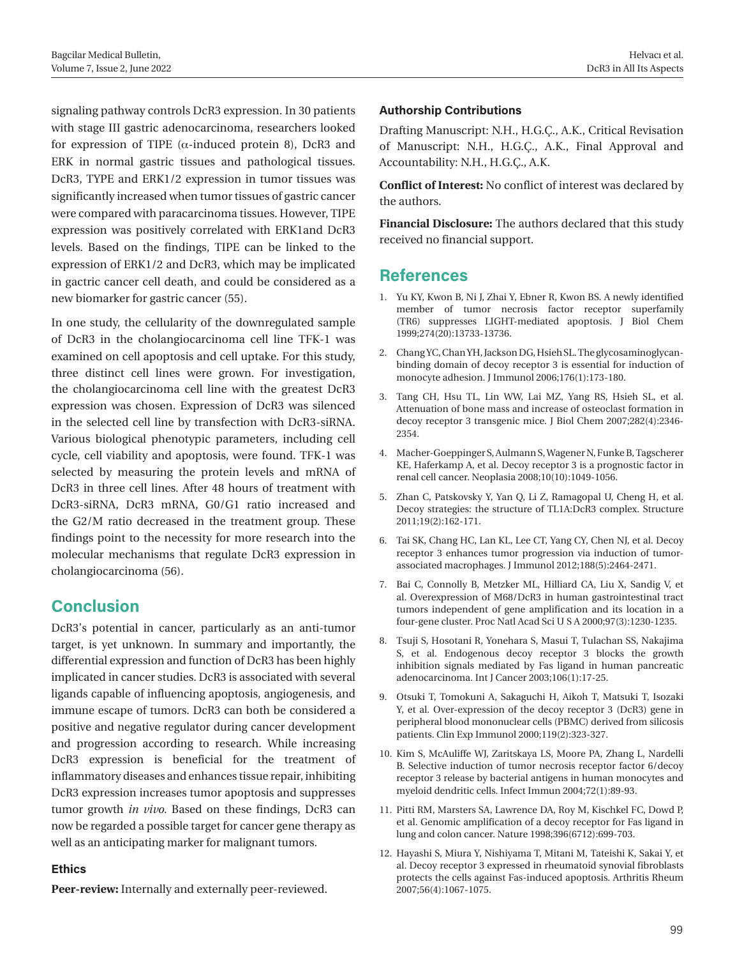signaling pathway controls DcR3 expression. In 30 patients with stage III gastric adenocarcinoma, researchers looked for expression of TIPE ( $\alpha$ -induced protein 8), DcR3 and ERK in normal gastric tissues and pathological tissues. DcR3, TYPE and ERK1/2 expression in tumor tissues was significantly increased when tumor tissues of gastric cancer were compared with paracarcinoma tissues. However, TIPE expression was positively correlated with ERK1and DcR3 levels. Based on the findings, TIPE can be linked to the expression of ERK1/2 and DcR3, which may be implicated in gactric cancer cell death, and could be considered as a new biomarker for gastric cancer (55).

In one study, the cellularity of the downregulated sample of DcR3 in the cholangiocarcinoma cell line TFK-1 was examined on cell apoptosis and cell uptake. For this study, three distinct cell lines were grown. For investigation, the cholangiocarcinoma cell line with the greatest DcR3 expression was chosen. Expression of DcR3 was silenced in the selected cell line by transfection with DcR3-siRNA. Various biological phenotypic parameters, including cell cycle, cell viability and apoptosis, were found. TFK-1 was selected by measuring the protein levels and mRNA of DcR3 in three cell lines. After 48 hours of treatment with DcR3-siRNA, DcR3 mRNA, G0/G1 ratio increased and the G2/M ratio decreased in the treatment group. These findings point to the necessity for more research into the molecular mechanisms that regulate DcR3 expression in cholangiocarcinoma (56).

#### **Conclusion**

DcR3's potential in cancer, particularly as an anti-tumor target, is yet unknown. In summary and importantly, the differential expression and function of DcR3 has been highly implicated in cancer studies. DcR3 is associated with several ligands capable of influencing apoptosis, angiogenesis, and immune escape of tumors. DcR3 can both be considered a positive and negative regulator during cancer development and progression according to research. While increasing DcR3 expression is beneficial for the treatment of inflammatory diseases and enhances tissue repair, inhibiting DcR3 expression increases tumor apoptosis and suppresses tumor growth *in vivo*. Based on these findings, DcR3 can now be regarded a possible target for cancer gene therapy as well as an anticipating marker for malignant tumors.

#### **Ethics**

**Peer-review:** Internally and externally peer-reviewed.

#### **Authorship Contributions**

Drafting Manuscript: N.H., H.G.Ç., A.K., Critical Revisation of Manuscript: N.H., H.G.Ç., A.K., Final Approval and Accountability: N.H., H.G.Ç., A.K.

**Conflict of Interest:** No conflict of interest was declared by the authors.

**Financial Disclosure:** The authors declared that this study received no financial support.

### **References**

- 1. Yu KY, Kwon B, Ni J, Zhai Y, Ebner R, Kwon BS. A newly identified member of tumor necrosis factor receptor superfamily (TR6) suppresses LIGHT-mediated apoptosis. J Biol Chem 1999;274(20):13733-13736.
- 2. Chang YC, Chan YH, Jackson DG, Hsieh SL. The glycosaminoglycanbinding domain of decoy receptor 3 is essential for induction of monocyte adhesion. J Immunol 2006;176(1):173-180.
- 3. Tang CH, Hsu TL, Lin WW, Lai MZ, Yang RS, Hsieh SL, et al. Attenuation of bone mass and increase of osteoclast formation in decoy receptor 3 transgenic mice. J Biol Chem 2007;282(4):2346- 2354.
- 4. Macher-Goeppinger S, Aulmann S, Wagener N, Funke B, Tagscherer KE, Haferkamp A, et al. Decoy receptor 3 is a prognostic factor in renal cell cancer. Neoplasia 2008;10(10):1049-1056.
- 5. Zhan C, Patskovsky Y, Yan Q, Li Z, Ramagopal U, Cheng H, et al. Decoy strategies: the structure of TL1A:DcR3 complex. Structure 2011;19(2):162-171.
- 6. Tai SK, Chang HC, Lan KL, Lee CT, Yang CY, Chen NJ, et al. Decoy receptor 3 enhances tumor progression via induction of tumorassociated macrophages. J Immunol 2012;188(5):2464-2471.
- 7. Bai C, Connolly B, Metzker ML, Hilliard CA, Liu X, Sandig V, et al. Overexpression of M68/DcR3 in human gastrointestinal tract tumors independent of gene amplification and its location in a four-gene cluster. Proc Natl Acad Sci U S A 2000;97(3):1230-1235.
- 8. Tsuji S, Hosotani R, Yonehara S, Masui T, Tulachan SS, Nakajima S, et al. Endogenous decoy receptor 3 blocks the growth inhibition signals mediated by Fas ligand in human pancreatic adenocarcinoma. Int J Cancer 2003;106(1):17-25.
- 9. Otsuki T, Tomokuni A, Sakaguchi H, Aikoh T, Matsuki T, Isozaki Y, et al. Over-expression of the decoy receptor 3 (DcR3) gene in peripheral blood mononuclear cells (PBMC) derived from silicosis patients. Clin Exp Immunol 2000;119(2):323-327.
- 10. Kim S, McAuliffe WJ, Zaritskaya LS, Moore PA, Zhang L, Nardelli B. Selective induction of tumor necrosis receptor factor 6/decoy receptor 3 release by bacterial antigens in human monocytes and myeloid dendritic cells. Infect Immun 2004;72(1):89-93.
- 11. Pitti RM, Marsters SA, Lawrence DA, Roy M, Kischkel FC, Dowd P, et al. Genomic amplification of a decoy receptor for Fas ligand in lung and colon cancer. Nature 1998;396(6712):699-703.
- 12. Hayashi S, Miura Y, Nishiyama T, Mitani M, Tateishi K, Sakai Y, et al. Decoy receptor 3 expressed in rheumatoid synovial fibroblasts protects the cells against Fas-induced apoptosis. Arthritis Rheum 2007;56(4):1067-1075.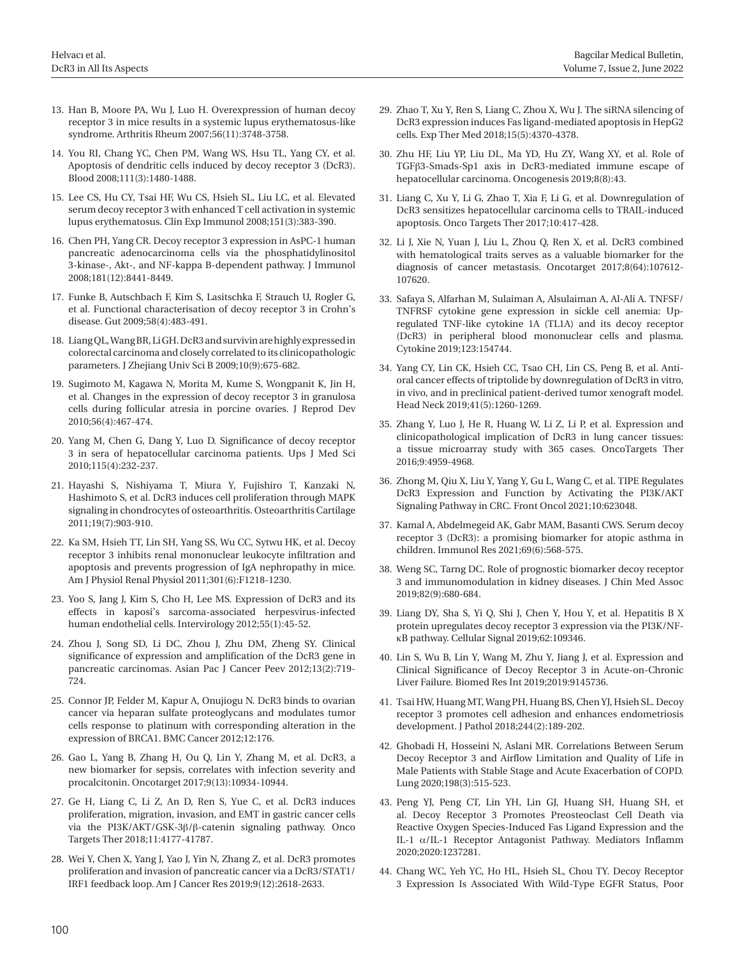- 13. Han B, Moore PA, Wu J, Luo H. Overexpression of human decoy receptor 3 in mice results in a systemic lupus erythematosus-like syndrome. Arthritis Rheum 2007;56(11):3748-3758.
- 14. You RI, Chang YC, Chen PM, Wang WS, Hsu TL, Yang CY, et al. Apoptosis of dendritic cells induced by decoy receptor 3 (DcR3). Blood 2008;111(3):1480-1488.
- 15. Lee CS, Hu CY, Tsai HF, Wu CS, Hsieh SL, Liu LC, et al. Elevated serum decoy receptor 3 with enhanced T cell activation in systemic lupus erythematosus. Clin Exp Immunol 2008;151(3):383-390.
- 16. Chen PH, Yang CR. Decoy receptor 3 expression in AsPC-1 human pancreatic adenocarcinoma cells via the phosphatidylinositol 3-kinase-, Akt-, and NF-kappa B-dependent pathway. J Immunol 2008;181(12):8441-8449.
- 17. Funke B, Autschbach F, Kim S, Lasitschka F, Strauch U, Rogler G, et al. Functional characterisation of decoy receptor 3 in Crohn's disease. Gut 2009;58(4):483-491.
- 18. Liang QL, Wang BR, Li GH. DcR3 and survivin are highly expressed in colorectal carcinoma and closely correlated to its clinicopathologic parameters. J Zhejiang Univ Sci B 2009;10(9):675-682.
- 19. Sugimoto M, Kagawa N, Morita M, Kume S, Wongpanit K, Jin H, et al. Changes in the expression of decoy receptor 3 in granulosa cells during follicular atresia in porcine ovaries. J Reprod Dev 2010;56(4):467-474.
- 20. Yang M, Chen G, Dang Y, Luo D. Significance of decoy receptor 3 in sera of hepatocellular carcinoma patients. Ups J Med Sci 2010;115(4):232-237.
- 21. Hayashi S, Nishiyama T, Miura Y, Fujishiro T, Kanzaki N, Hashimoto S, et al. DcR3 induces cell proliferation through MAPK signaling in chondrocytes of osteoarthritis. Osteoarthritis Cartilage 2011;19(7):903-910.
- 22. Ka SM, Hsieh TT, Lin SH, Yang SS, Wu CC, Sytwu HK, et al. Decoy receptor 3 inhibits renal mononuclear leukocyte infiltration and apoptosis and prevents progression of IgA nephropathy in mice. Am J Physiol Renal Physiol 2011;301(6):F1218-1230.
- 23. Yoo S, Jang J, Kim S, Cho H, Lee MS. Expression of DcR3 and its effects in kaposi's sarcoma-associated herpesvirus-infected human endothelial cells. Intervirology 2012;55(1):45-52.
- 24. Zhou J, Song SD, Li DC, Zhou J, Zhu DM, Zheng SY. Clinical significance of expression and amplification of the DcR3 gene in pancreatic carcinomas. Asian Pac J Cancer Peev 2012;13(2):719- 724.
- 25. Connor JP, Felder M, Kapur A, Onujiogu N. DcR3 binds to ovarian cancer via heparan sulfate proteoglycans and modulates tumor cells response to platinum with corresponding alteration in the expression of BRCA1. BMC Cancer 2012;12:176.
- 26. Gao L, Yang B, Zhang H, Ou Q, Lin Y, Zhang M, et al. DcR3, a new biomarker for sepsis, correlates with infection severity and procalcitonin. Oncotarget 2017;9(13):10934-10944.
- 27. Ge H, Liang C, Li Z, An D, Ren S, Yue C, et al. DcR3 induces proliferation, migration, invasion, and EMT in gastric cancer cells via the PI3K/AKT/GSK-3β/β-catenin signaling pathway. Onco Targets Ther 2018;11:4177-41787.
- 28. Wei Y, Chen X, Yang J, Yao J, Yin N, Zhang Z, et al. DcR3 promotes proliferation and invasion of pancreatic cancer via a DcR3/STAT1/ IRF1 feedback loop. Am J Cancer Res 2019;9(12):2618-2633.
- 29. Zhao T, Xu Y, Ren S, Liang C, Zhou X, Wu J. The siRNA silencing of DcR3 expression induces Fas ligand-mediated apoptosis in HepG2 cells. Exp Ther Med 2018;15(5):4370-4378.
- 30. Zhu HF, Liu YP, Liu DL, Ma YD, Hu ZY, Wang XY, et al. Role of TGFβ3-Smads-Sp1 axis in DcR3-mediated immune escape of hepatocellular carcinoma. Oncogenesis 2019;8(8):43.
- 31. Liang C, Xu Y, Li G, Zhao T, Xia F, Li G, et al. Downregulation of DcR3 sensitizes hepatocellular carcinoma cells to TRAIL-induced apoptosis. Onco Targets Ther 2017;10:417-428.
- 32. Li J, Xie N, Yuan J, Liu L, Zhou Q, Ren X, et al. DcR3 combined with hematological traits serves as a valuable biomarker for the diagnosis of cancer metastasis. Oncotarget 2017;8(64):107612- 107620.
- 33. Safaya S, Alfarhan M, Sulaiman A, Alsulaiman A, Al-Ali A. TNFSF/ TNFRSF cytokine gene expression in sickle cell anemia: Upregulated TNF-like cytokine 1A (TL1A) and its decoy receptor (DcR3) in peripheral blood mononuclear cells and plasma. Cytokine 2019;123:154744.
- 34. Yang CY, Lin CK, Hsieh CC, Tsao CH, Lin CS, Peng B, et al. Antioral cancer effects of triptolide by downregulation of DcR3 in vitro, in vivo, and in preclinical patient-derived tumor xenograft model. Head Neck 2019;41(5):1260-1269.
- 35. Zhang Y, Luo J, He R, Huang W, Li Z, Li P, et al. Expression and clinicopathological implication of DcR3 in lung cancer tissues: a tissue microarray study with 365 cases. OncoTargets Ther 2016;9:4959-4968.
- 36. Zhong M, Qiu X, Liu Y, Yang Y, Gu L, Wang C, et al. TIPE Regulates DcR3 Expression and Function by Activating the PI3K/AKT Signaling Pathway in CRC. Front Oncol 2021;10:623048.
- 37. Kamal A, Abdelmegeid AK, Gabr MAM, Basanti CWS. Serum decoy receptor 3 (DcR3): a promising biomarker for atopic asthma in children. Immunol Res 2021;69(6):568-575.
- 38. Weng SC, Tarng DC. Role of prognostic biomarker decoy receptor 3 and immunomodulation in kidney diseases. J Chin Med Assoc 2019;82(9):680-684.
- 39. Liang DY, Sha S, Yi Q, Shi J, Chen Y, Hou Y, et al. Hepatitis B X protein upregulates decoy receptor 3 expression via the PI3K/NFκB pathway. Cellular Signal 2019;62:109346.
- 40. Lin S, Wu B, Lin Y, Wang M, Zhu Y, Jiang J, et al. Expression and Clinical Significance of Decoy Receptor 3 in Acute-on-Chronic Liver Failure. Biomed Res Int 2019;2019:9145736.
- 41. Tsai HW, Huang MT, Wang PH, Huang BS, Chen YJ, Hsieh SL. Decoy receptor 3 promotes cell adhesion and enhances endometriosis development. J Pathol 2018;244(2):189-202.
- 42. Ghobadi H, Hosseini N, Aslani MR. Correlations Between Serum Decoy Receptor 3 and Airflow Limitation and Quality of Life in Male Patients with Stable Stage and Acute Exacerbation of COPD. Lung 2020;198(3):515-523.
- 43. Peng YJ, Peng CT, Lin YH, Lin GJ, Huang SH, Huang SH, et al. Decoy Receptor 3 Promotes Preosteoclast Cell Death via Reactive Oxygen Species-Induced Fas Ligand Expression and the IL-1 α/IL-1 Receptor Antagonist Pathway. Mediators Inflamm 2020;2020:1237281.
- 44. Chang WC, Yeh YC, Ho HL, Hsieh SL, Chou TY. Decoy Receptor 3 Expression Is Associated With Wild-Type EGFR Status, Poor